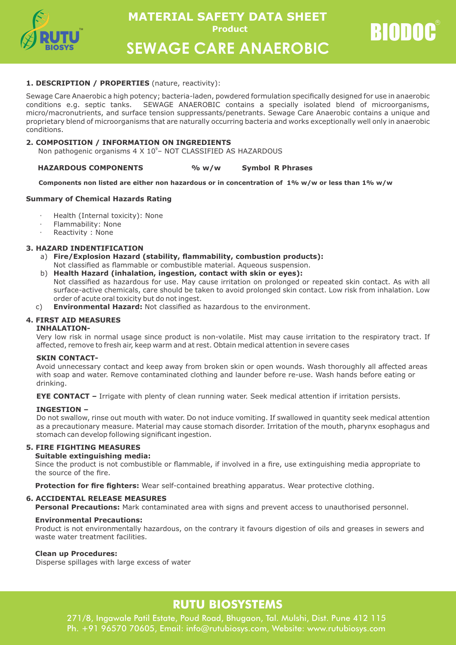

**Product MATERIAL SAFETY DATA SHEET** 

**BIODOC** 

**SEWAGE CARE ANAEROBIC**

### **1. DESCRIPTION / PROPERTIES** (nature, reactivity):

Sewage Care Anaerobic a high potency; bacteria-laden, powdered formulation specifically designed for use in anaerobic conditions e.g. septic tanks. SEWAGE ANAEROBIC contains a specially isolated blend of microorganisms, micro/macronutrients, and surface tension suppressants/penetrants. Sewage Care Anaerobic contains a unique and proprietary blend of microorganisms that are naturally occurring bacteria and works exceptionally well only in anaerobic conditions.

# **2. COMPOSITION / INFORMATION ON INGREDIENTS**

Non pathogenic organisms  $4 \times 10^{\circ}$ – NOT CLASSIFIED AS HAZARDOUS

#### **HAZARDOUS COMPONENTS % w/w Symbol R Phrases**

#### **Components non listed are either non hazardous or in concentration of 1% w/w or less than 1% w/w**

#### **Summary of Chemical Hazards Rating**

- Health (Internal toxicity): None
- Flammability: None
- Reactivity : None

# **3. HAZARD INDENTIFICATION**

- a) **Fire/Explosion Hazard (stability, flammability, combustion products):** Not classified as flammable or combustible material. Aqueous suspension.
- b) **Health Hazard (inhalation, ingestion, contact with skin or eyes):** Not classified as hazardous for use. May cause irritation on prolonged or repeated skin contact. As with all surface-active chemicals, care should be taken to avoid prolonged skin contact. Low risk from inhalation. Low order of acute oral toxicity but do not ingest.
- c) **Environmental Hazard:** Not classified as hazardous to the environment.

# **4. FIRST AID MEASURES**

#### **INHALATION-**

Very low risk in normal usage since product is non-volatile. Mist may cause irritation to the respiratory tract. If affected, remove to fresh air, keep warm and at rest. Obtain medical attention in severe cases

#### **SKIN CONTACT-**

Avoid unnecessary contact and keep away from broken skin or open wounds. Wash thoroughly all affected areas with soap and water. Remove contaminated clothing and launder before re-use. Wash hands before eating or drinking.

**EYE CONTACT –** Irrigate with plenty of clean running water. Seek medical attention if irritation persists.

#### **INGESTION –**

Do not swallow, rinse out mouth with water. Do not induce vomiting. If swallowed in quantity seek medical attention as a precautionary measure. Material may cause stomach disorder. Irritation of the mouth, pharynx esophagus and stomach can develop following significant ingestion.

#### **5. FIRE FIGHTING MEASURES**

#### **Suitable extinguishing media:**

Since the product is not combustible or flammable, if involved in a fire, use extinguishing media appropriate to the source of the fire.

**Protection for fire fighters:** Wear self-contained breathing apparatus. Wear protective clothing.

#### **6. ACCIDENTAL RELEASE MEASURES**

**Personal Precautions:** Mark contaminated area with signs and prevent access to unauthorised personnel.

#### **Environmental Precautions:**

Product is not environmentally hazardous, on the contrary it favours digestion of oils and greases in sewers and waste water treatment facilities.

#### **Clean up Procedures:**

Disperse spillages with large excess of water

# **RUTU BIOSYSTEMS**

271/8, Ingawale Patil Estate, Poud Road, Bhugaon, Tal. Mulshi, Dist. Pune 412 115 Ph. +91 96570 70605, Email: info@rutubiosys.com, Website: www.rutubiosys.com